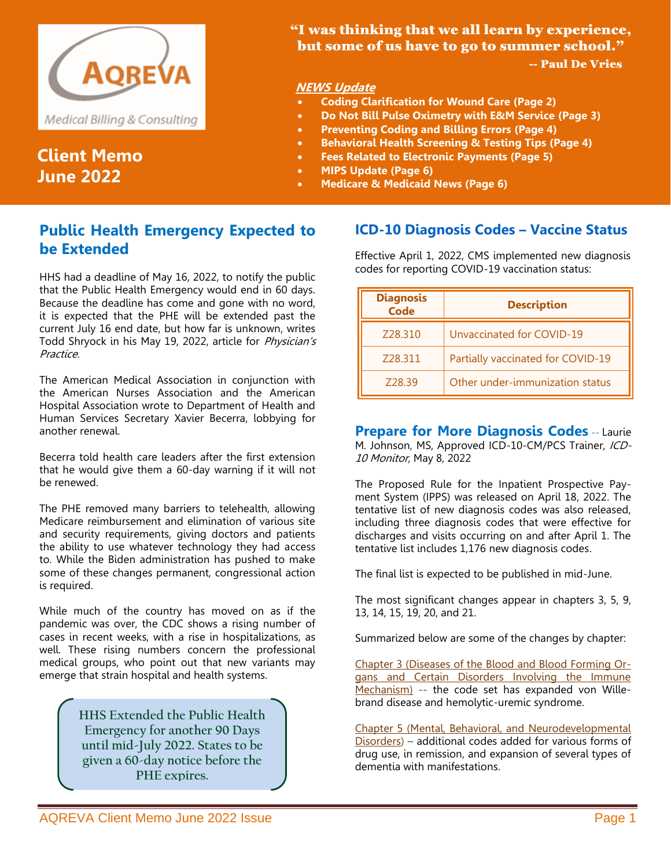

# **Client Memo June 2022**

### "I was thinking that we all learn by experience, but some of us have to go to summer school." -- Paul De Vries

### **NEWS Update**

- **Coding Clarification for Wound Care (Page 2)**
- **Do Not Bill Pulse Oximetry with E&M Service (Page 3)**
- **Preventing Coding and Billing Errors (Page 4)**
- **Behavioral Health Screening & Testing Tips (Page 4)**
- **Fees Related to Electronic Payments (Page 5)**
- **MIPS Update (Page 6)**
- **Medicare & Medicaid News (Page 6)**

## **Public Health Emergency Expected to be Extended**

HHS had a deadline of May 16, 2022, to notify the public that the Public Health Emergency would end in 60 days. Because the deadline has come and gone with no word, it is expected that the PHE will be extended past the current July 16 end date, but how far is unknown, writes Todd Shryock in his May 19, 2022, article for Physician's Practice.

The American Medical Association in conjunction with the American Nurses Association and the American Hospital Association wrote to Department of Health and Human Services Secretary Xavier Becerra, lobbying for another renewal.

Becerra told health care leaders after the first extension that he would give them a 60-day warning if it will not be renewed.

The PHE removed many barriers to telehealth, allowing Medicare reimbursement and elimination of various site and security requirements, giving doctors and patients the ability to use whatever technology they had access to. While the Biden administration has pushed to make some of these changes permanent, congressional action is required.

While much of the country has moved on as if the pandemic was over, the CDC shows a rising number of cases in recent weeks, with a rise in hospitalizations, as well. These rising numbers concern the professional medical groups, who point out that new variants may emerge that strain hospital and health systems.

> **HHS Extended the Public Health Emergency for another 90 Days until mid-July 2022. States to be given a 60-day notice before the PHE expires.**

### **ICD-10 Diagnosis Codes – Vaccine Status**

Effective April 1, 2022, CMS implemented new diagnosis codes for reporting COVID-19 vaccination status:

| <b>Diagnosis</b><br><b>Code</b> | <b>Description</b>                |
|---------------------------------|-----------------------------------|
| Z28.310                         | Unvaccinated for COVID-19         |
| Z28.311                         | Partially vaccinated for COVID-19 |
| Z28.39                          | Other under-immunization status   |

**Prepare for More Diagnosis Codes** -- Laurie M. Johnson, MS, Approved ICD-10-CM/PCS Trainer, ICD-10 Monitor, May 8, 2022

The Proposed Rule for the Inpatient Prospective Payment System (IPPS) was released on April 18, 2022. The tentative list of new diagnosis codes was also released, including three diagnosis codes that were effective for discharges and visits occurring on and after April 1. The tentative list includes 1,176 new diagnosis codes.

The final list is expected to be published in mid-June.

The most significant changes appear in chapters 3, 5, 9, 13, 14, 15, 19, 20, and 21.

Summarized below are some of the changes by chapter:

Chapter 3 (Diseases of the Blood and Blood Forming Organs and Certain Disorders Involving the Immune Mechanism) -- the code set has expanded von Willebrand disease and hemolytic-uremic syndrome.

Chapter 5 (Mental, Behavioral, and Neurodevelopmental Disorders) – additional codes added for various forms of drug use, in remission, and expansion of several types of dementia with manifestations.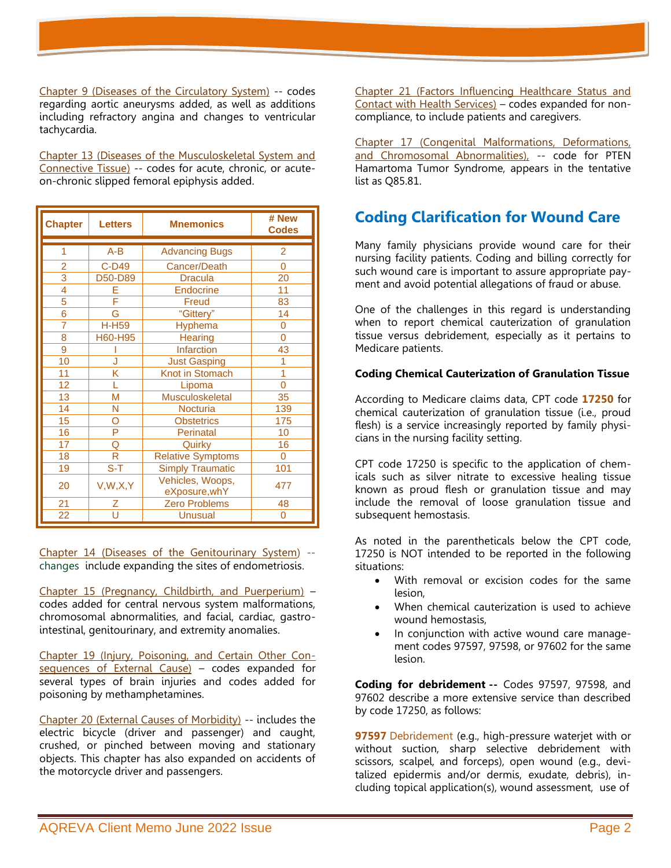Chapter 9 (Diseases of the Circulatory System) -- codes regarding aortic aneurysms added, as well as additions including refractory angina and changes to ventricular tachycardia.

Chapter 13 (Diseases of the Musculoskeletal System and Connective Tissue) -- codes for acute, chronic, or acuteon-chronic slipped femoral epiphysis added.

| <b>Chapter</b>           | <b>Letters</b> | <b>Mnemonics</b>                  | # New<br><b>Codes</b> |
|--------------------------|----------------|-----------------------------------|-----------------------|
| 1                        | $A-B$          | <b>Advancing Bugs</b>             | 2                     |
| $\overline{2}$           | C-D49          | Cancer/Death                      | 0                     |
| $\overline{3}$           | D50-D89        | <b>Dracula</b>                    | 20                    |
| $\overline{\mathcal{A}}$ |                | <b>Endocrine</b>                  | 11                    |
| $\overline{5}$           |                | Freud                             | 83                    |
| 6                        | G              | "Gittery"                         | 14                    |
| 7                        | <b>H-H59</b>   | <b>Hyphema</b>                    | 0                     |
| 8                        | H60-H95        | <b>Hearing</b>                    | $\Omega$              |
| $\overline{9}$           |                | <b>Infarction</b>                 | 43                    |
| 10                       | J              | <b>Just Gasping</b>               |                       |
| 11                       | Κ              | Knot in Stomach                   | 1                     |
| 12                       | L              | Lipoma                            | 0                     |
| 13                       | M              | <b>Musculoskeletal</b>            | 35                    |
| 14                       | Ν              | <b>Nocturia</b>                   | 139                   |
| 15                       | റ              | <b>Obstetrics</b>                 | 175                   |
| 16                       | P              | Perinatal                         | 10                    |
| 17                       | Q              | Quirky                            | 16                    |
| 18                       | R              | <b>Relative Symptoms</b>          | $\Omega$              |
| 19                       | $S-T$          | <b>Simply Traumatic</b>           | 101                   |
| 20                       | V, W, X, Y     | Vehicles, Woops,<br>eXposure, whY | 477                   |
| 21                       | Ζ              | <b>Zero Problems</b>              | 48                    |
| 22                       | Ū              | <b>Unusual</b>                    | 0                     |

Chapter 14 (Diseases of the Genitourinary System) - changes include expanding the sites of endometriosis.

Chapter 15 (Pregnancy, Childbirth, and Puerperium) – codes added for central nervous system malformations, chromosomal abnormalities, and facial, cardiac, gastrointestinal, genitourinary, and extremity anomalies.

Chapter 19 (Injury, Poisoning, and Certain Other Consequences of External Cause) – codes expanded for several types of brain injuries and codes added for poisoning by methamphetamines.

Chapter 20 (External Causes of Morbidity) -- includes the electric bicycle (driver and passenger) and caught, crushed, or pinched between moving and stationary objects. This chapter has also expanded on accidents of the motorcycle driver and passengers.

Chapter 21 (Factors Influencing Healthcare Status and Contact with Health Services) – codes expanded for noncompliance, to include patients and caregivers.

Chapter 17 (Congenital Malformations, Deformations, and Chromosomal Abnormalities), -- code for PTEN Hamartoma Tumor Syndrome, appears in the tentative list as Q85.81.

# **Coding Clarification for Wound Care**

Many family physicians provide wound care for their nursing facility patients. Coding and billing correctly for such wound care is important to assure appropriate payment and avoid potential allegations of fraud or abuse.

One of the challenges in this regard is understanding when to report chemical cauterization of granulation tissue versus debridement, especially as it pertains to Medicare patients.

#### **Coding Chemical Cauterization of Granulation Tissue**

According to Medicare claims data, CPT code **17250** for chemical cauterization of granulation tissue (i.e., proud flesh) is a service increasingly reported by family physicians in the nursing facility setting.

CPT code 17250 is specific to the application of chemicals such as silver nitrate to excessive healing tissue known as proud flesh or granulation tissue and may include the removal of loose granulation tissue and subsequent hemostasis.

As noted in the parentheticals below the CPT code, 17250 is NOT intended to be reported in the following situations:

- With removal or excision codes for the same lesion,
- When chemical cauterization is used to achieve wound hemostasis,
- In conjunction with active wound care management codes 97597, 97598, or 97602 for the same lesion.

**Coding for debridement --** Codes 97597, 97598, and 97602 describe a more extensive service than described by code 17250, as follows:

**97597** Debridement (e.g., high-pressure waterjet with or without suction, sharp selective debridement with scissors, scalpel, and forceps), open wound (e.g., devitalized epidermis and/or dermis, exudate, debris), including topical application(s), wound assessment, use of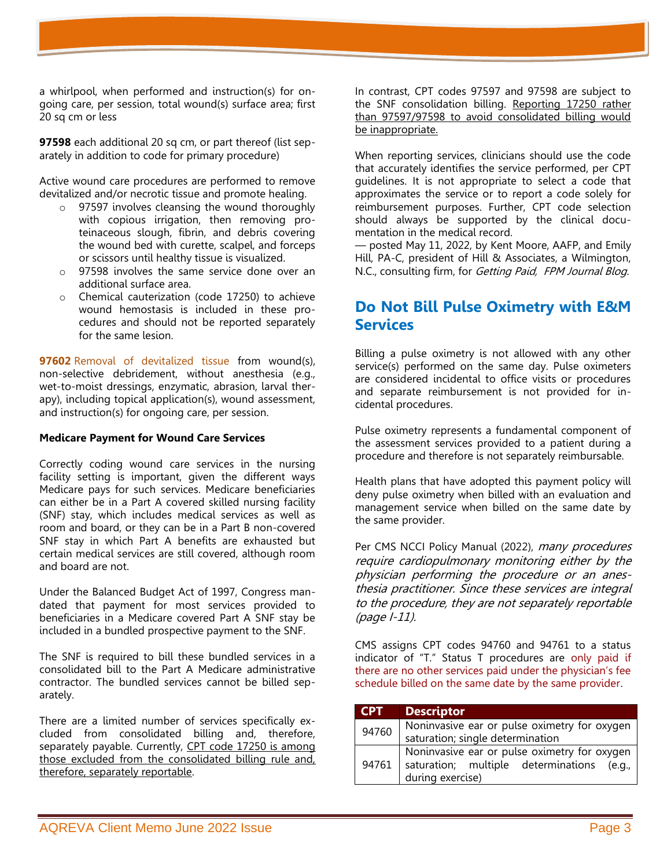a whirlpool, when performed and instruction(s) for ongoing care, per session, total wound(s) surface area; first 20 sq cm or less

**97598** each additional 20 sq cm, or part thereof (list separately in addition to code for primary procedure)

Active wound care procedures are performed to remove devitalized and/or necrotic tissue and promote healing.

- o 97597 involves cleansing the wound thoroughly with copious irrigation, then removing proteinaceous slough, fibrin, and debris covering the wound bed with curette, scalpel, and forceps or scissors until healthy tissue is visualized.
- o 97598 involves the same service done over an additional surface area.
- o Chemical cauterization (code 17250) to achieve wound hemostasis is included in these procedures and should not be reported separately for the same lesion.

**97602** Removal of devitalized tissue from wound(s), non-selective debridement, without anesthesia (e.g., wet-to-moist dressings, enzymatic, abrasion, larval therapy), including topical application(s), wound assessment, and instruction(s) for ongoing care, per session.

#### **Medicare Payment for Wound Care Services**

Correctly coding wound care services in the nursing facility setting is important, given the different ways Medicare pays for such services. Medicare beneficiaries can either be in a Part A covered skilled nursing facility (SNF) stay, which includes medical services as well as room and board, or they can be in a Part B non-covered SNF stay in which Part A benefits are exhausted but certain medical services are still covered, although room and board are not.

Under the Balanced Budget Act of 1997, Congress mandated that payment for most services provided to beneficiaries in a Medicare covered Part A SNF stay be included in a bundled prospective payment to the SNF.

The SNF is required to bill these bundled services in a consolidated bill to the Part A Medicare administrative contractor. The bundled services cannot be billed separately.

There are a limited number of services specifically excluded from consolidated billing and, therefore, separately payable. Currently, CPT code 17250 is among those excluded from the consolidated billing rule and, therefore, separately reportable.

In contrast, CPT codes 97597 and 97598 are subject to the SNF consolidation billing. Reporting 17250 rather than 97597/97598 to avoid consolidated billing would be inappropriate.

When reporting services, clinicians should use the code that accurately identifies the service performed, per CPT guidelines. It is not appropriate to select a code that approximates the service or to report a code solely for reimbursement purposes. Further, CPT code selection should always be supported by the clinical documentation in the medical record.

— posted May 11, 2022, by Kent Moore, AAFP, and Emily Hill, PA-C, president of Hill & Associates, a Wilmington, N.C., consulting firm, for Getting Paid, FPM Journal Blog.

# **Do Not Bill Pulse Oximetry with E&M Services**

Billing a pulse oximetry is not allowed with any other service(s) performed on the same day. Pulse oximeters are considered incidental to office visits or procedures and separate reimbursement is not provided for incidental procedures.

Pulse oximetry represents a fundamental component of the assessment services provided to a patient during a procedure and therefore is not separately reimbursable.

Health plans that have adopted this payment policy will deny pulse oximetry when billed with an evaluation and management service when billed on the same date by the same provider.

Per CMS NCCI Policy Manual (2022), many procedures require cardiopulmonary monitoring either by the physician performing the procedure or an anesthesia practitioner. Since these services are integral to the procedure, they are not separately reportable (page I-11).

CMS assigns CPT codes 94760 and 94761 to a status indicator of "T." Status T procedures are only paid if there are no other services paid under the physician's fee schedule billed on the same date by the same provider.

| <b>CPT</b> | <b>Descriptor</b>                                                                                              |
|------------|----------------------------------------------------------------------------------------------------------------|
| 94760      | Noninvasive ear or pulse oximetry for oxygen<br>saturation; single determination                               |
| 94761      | Noninvasive ear or pulse oximetry for oxygen<br>saturation; multiple determinations (e.g.,<br>during exercise) |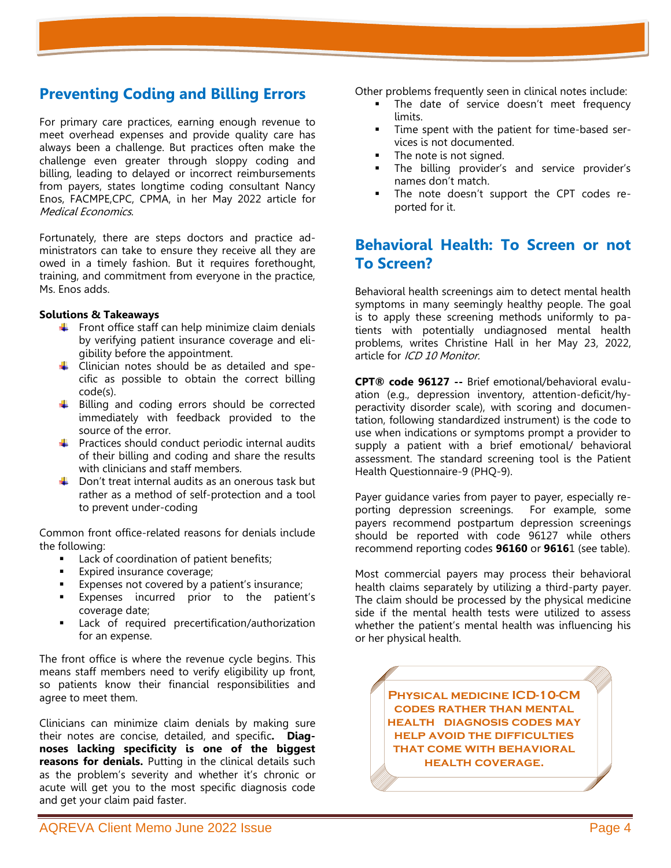### **Preventing Coding and Billing Errors**

For primary care practices, earning enough revenue to meet overhead expenses and provide quality care has always been a challenge. But practices often make the challenge even greater through sloppy coding and billing, leading to delayed or incorrect reimbursements from payers, states longtime coding consultant Nancy Enos, FACMPE,CPC, CPMA, in her May 2022 article for Medical Economics.

Fortunately, there are steps doctors and practice administrators can take to ensure they receive all they are owed in a timely fashion. But it requires forethought, training, and commitment from everyone in the practice, Ms. Enos adds.

#### **Solutions & Takeaways**

- $\frac{1}{\sqrt{2}}$  Front office staff can help minimize claim denials by verifying patient insurance coverage and eligibility before the appointment.
- $\downarrow$  Clinician notes should be as detailed and specific as possible to obtain the correct billing code(s).
- $\ddotplus$  Billing and coding errors should be corrected immediately with feedback provided to the source of the error.
- $\downarrow$  Practices should conduct periodic internal audits of their billing and coding and share the results with clinicians and staff members.
- $\downarrow$  Don't treat internal audits as an onerous task but rather as a method of self-protection and a tool to prevent under-coding

Common front office-related reasons for denials include the following:

- Lack of coordination of patient benefits;
- Expired insurance coverage;
- Expenses not covered by a patient's insurance;
- Expenses incurred prior to the patient's coverage date;
- Lack of required precertification/authorization for an expense.

The front office is where the revenue cycle begins. This means staff members need to verify eligibility up front, so patients know their financial responsibilities and agree to meet them.

Clinicians can minimize claim denials by making sure their notes are concise, detailed, and specific**. Diagnoses lacking specificity is one of the biggest reasons for denials.** Putting in the clinical details such as the problem's severity and whether it's chronic or acute will get you to the most specific diagnosis code and get your claim paid faster.

Other problems frequently seen in clinical notes include:

- The date of service doesn't meet frequency limits.
- Time spent with the patient for time-based services is not documented.
- The note is not signed.
- The billing provider's and service provider's names don't match.
- The note doesn't support the CPT codes reported for it.

# **[Behavioral Health: To Screen or not](https://icd10monitor.com/behavioral-health-to-screen-or-not-to-screen-2/)  [To Screen?](https://icd10monitor.com/behavioral-health-to-screen-or-not-to-screen-2/)**

Behavioral health screenings aim to detect mental health symptoms in many seemingly healthy people. The goal is to apply these screening methods uniformly to patients with potentially undiagnosed mental health problems, writes Christine Hall in her May 23, 2022, article for ICD 10 Monitor.

**CPT® code 96127 --** Brief emotional/behavioral evaluation (e.g., depression inventory, attention-deficit/hyperactivity disorder scale), with scoring and documentation, following standardized instrument) is the code to use when indications or symptoms prompt a provider to supply a patient with a brief emotional/ behavioral assessment. The standard screening tool is the Patient Health Questionnaire-9 (PHQ-9).

Payer guidance varies from payer to payer, especially reporting depression screenings. For example, some payers recommend postpartum depression screenings should be reported with code 96127 while others recommend reporting codes **96160** or **9616**1 (see table).

Most commercial payers may process their behavioral health claims separately by utilizing a third-party payer. The claim should be processed by the physical medicine side if the mental health tests were utilized to assess whether the patient's mental health was influencing his or her physical health.

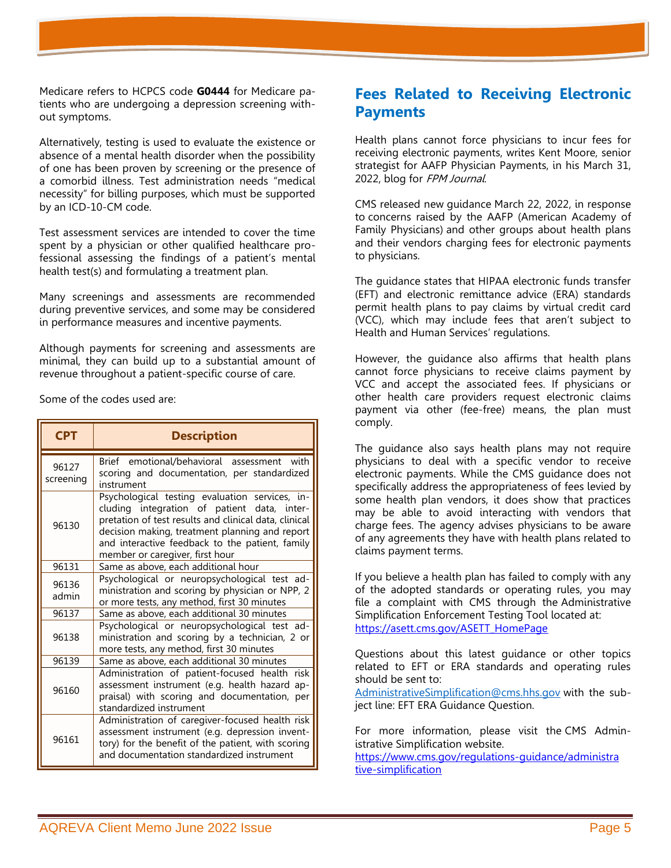Medicare refers to HCPCS code **G0444** for Medicare patients who are undergoing a depression screening without symptoms.

Alternatively, testing is used to evaluate the existence or absence of a mental health disorder when the possibility of one has been proven by screening or the presence of a comorbid illness. Test administration needs "medical necessity" for billing purposes, which must be supported by an ICD-10-CM code.

Test assessment services are intended to cover the time spent by a physician or other qualified healthcare professional assessing the findings of a patient's mental health test(s) and formulating a treatment plan.

Many screenings and assessments are recommended during preventive services, and some may be considered in performance measures and incentive payments.

Although payments for screening and assessments are minimal, they can build up to a substantial amount of revenue throughout a patient-specific course of care.

Some of the codes used are:

| <b>CPT</b>         | <b>Description</b>                                                                                                                                                                                                                                                                             |
|--------------------|------------------------------------------------------------------------------------------------------------------------------------------------------------------------------------------------------------------------------------------------------------------------------------------------|
| 96127<br>screening | Brief emotional/behavioral assessment<br>with<br>scoring and documentation, per standardized<br>instrument                                                                                                                                                                                     |
| 96130              | Psychological testing evaluation services, in-<br>cluding integration of patient data, inter-<br>pretation of test results and clinical data, clinical<br>decision making, treatment planning and report<br>and interactive feedback to the patient, family<br>member or caregiver, first hour |
| 96131              | Same as above, each additional hour                                                                                                                                                                                                                                                            |
| 96136<br>admin     | Psychological or neuropsychological test ad-<br>ministration and scoring by physician or NPP, 2<br>or more tests, any method, first 30 minutes                                                                                                                                                 |
| 96137              | Same as above, each additional 30 minutes                                                                                                                                                                                                                                                      |
| 96138              | Psychological or neuropsychological test ad-<br>ministration and scoring by a technician, 2 or<br>more tests, any method, first 30 minutes                                                                                                                                                     |
| 96139              | Same as above, each additional 30 minutes                                                                                                                                                                                                                                                      |
| 96160              | Administration of patient-focused health risk<br>assessment instrument (e.g. health hazard ap-<br>praisal) with scoring and documentation, per<br>standardized instrument                                                                                                                      |
| 96161              | Administration of caregiver-focused health risk<br>assessment instrument (e.g. depression invent-<br>tory) for the benefit of the patient, with scoring<br>and documentation standardized instrument                                                                                           |

# **Fees Related to Receiving Electronic Payments**

Health plans cannot force physicians to incur fees for receiving electronic payments, writes Kent Moore, senior strategist for AAFP Physician Payments, in his March 31, 2022, blog for FPM Journal.

CMS released new [guidance](https://www.cms.gov/files/document/guidance-letter-vcc-eft-era.pdf) March 22, 2022, in response to [concerns raised by the AAFP \(American Academy of](https://www.aafp.org/dam/AAFP/documents/advocacy/legal/administrative/LT-CMS-EFTFees-102221.pdf)  [Family Physicians\)](https://www.aafp.org/dam/AAFP/documents/advocacy/legal/administrative/LT-CMS-EFTFees-102221.pdf) and other groups about health plans and their vendors charging fees for electronic payments to physicians.

The guidance states that HIPAA electronic funds transfer (EFT) and electronic remittance advice (ERA) standards permit health plans to pay claims by virtual credit card (VCC), which may include fees that aren't subject to Health and Human Services' regulations.

However, the guidance also affirms that health plans cannot force physicians to receive claims payment by VCC and accept the associated fees. If physicians or other health care providers request electronic claims payment via other (fee-free) means, the plan must comply.

The guidance also says health plans may not require physicians to deal with a specific vendor to receive electronic payments. While the CMS guidance does not specifically address the appropriateness of fees levied by some health plan vendors, it does show that practices may be able to avoid interacting with vendors that charge fees. The agency advises physicians to be aware of any agreements they have with health plans related to claims payment terms.

If you believe a health plan has failed to comply with any of the adopted standards or operating rules, you may file a complaint with CMS through the [Administrative](https://asett.cms.gov/)  [Simplification Enforcement Testing Tool](https://asett.cms.gov/) located at: [https://asett.cms.gov/ASETT\\_HomePage](https://asett.cms.gov/ASETT_HomePage)

Questions about this latest guidance or other topics related to EFT or ERA standards and operating rules should be sent to:

[AdministrativeSimplification@cms.hhs.gov](mailto:AdministrativeSimplification@cms.hhs.gov) with the subject line: EFT ERA Guidance Question.

For more information, please visit the [CMS Admin](http://go.cms.gov/AdminSimp)[istrative Simplification website.](http://go.cms.gov/AdminSimp)

[https://www.cms.gov/regulations-guidance/administra](https://www.cms.gov/regulations-guidance/administra%20tive-simplification)  [tive-simplification](https://www.cms.gov/regulations-guidance/administra%20tive-simplification)